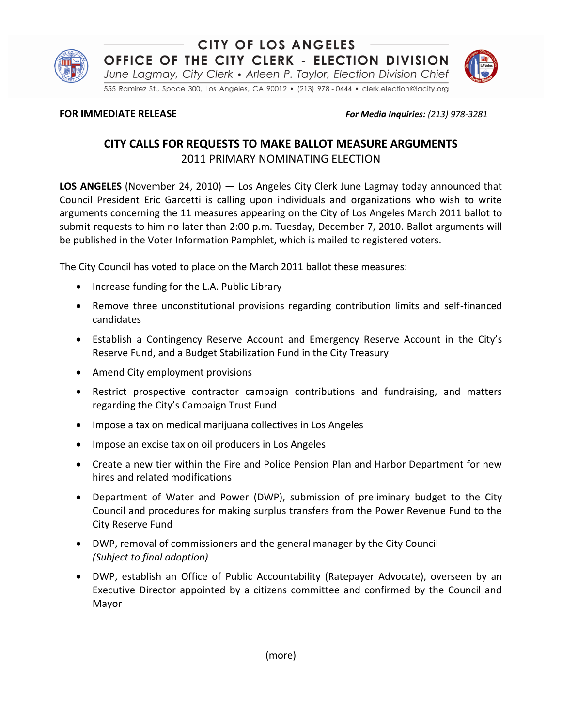

## **CITY OF LOS ANGELES** OFFICE OF THE CITY CLERK - ELECTION DIVISION

June Lagmay, City Clerk • Arleen P. Taylor, Election Division Chief

555 Ramirez St., Space 300, Los Angeles, CA 90012 · (213) 978 - 0444 · clerk.election@lacity.org

**FOR IMMEDIATE RELEASE** *For Media Inquiries: (213) 978-3281* 

# **CITY CALLS FOR REQUESTS TO MAKE BALLOT MEASURE ARGUMENTS** 2011 PRIMARY NOMINATING ELECTION

**LOS ANGELES** (November 24, 2010) — Los Angeles City Clerk June Lagmay today announced that Council President Eric Garcetti is calling upon individuals and organizations who wish to write arguments concerning the 11 measures appearing on the City of Los Angeles March 2011 ballot to submit requests to him no later than 2:00 p.m. Tuesday, December 7, 2010. Ballot arguments will be published in the Voter Information Pamphlet, which is mailed to registered voters.

The City Council has voted to place on the March 2011 ballot these measures:

- Increase funding for the L.A. Public Library
- Remove three unconstitutional provisions regarding contribution limits and self-financed candidates
- Establish a Contingency Reserve Account and Emergency Reserve Account in the City's Reserve Fund, and a Budget Stabilization Fund in the City Treasury
- Amend City employment provisions
- Restrict prospective contractor campaign contributions and fundraising, and matters regarding the City's Campaign Trust Fund
- Impose a tax on medical marijuana collectives in Los Angeles
- Impose an excise tax on oil producers in Los Angeles
- Create a new tier within the Fire and Police Pension Plan and Harbor Department for new hires and related modifications
- Department of Water and Power (DWP), submission of preliminary budget to the City Council and procedures for making surplus transfers from the Power Revenue Fund to the City Reserve Fund
- DWP, removal of commissioners and the general manager by the City Council *(Subject to final adoption)*
- DWP, establish an Office of Public Accountability (Ratepayer Advocate), overseen by an Executive Director appointed by a citizens committee and confirmed by the Council and Mayor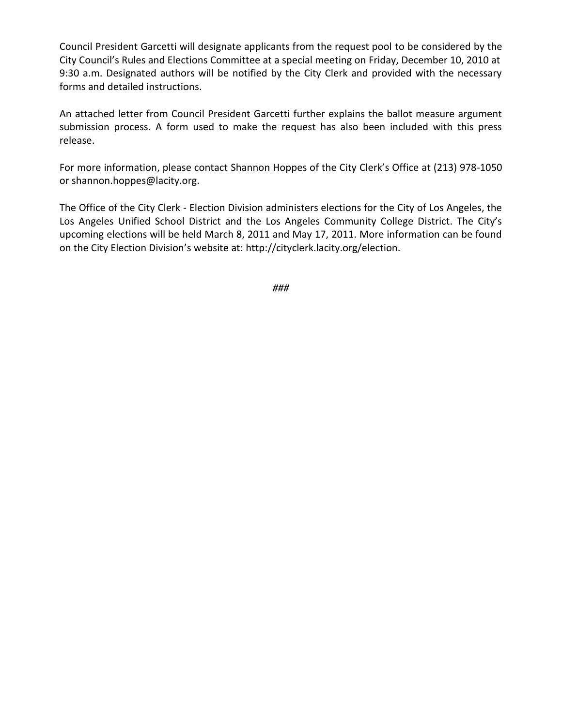Council President Garcetti will designate applicants from the request pool to be considered by the City Council's Rules and Elections Committee at a special meeting on Friday, December 10, 2010 at 9:30 a.m. Designated authors will be notified by the City Clerk and provided with the necessary forms and detailed instructions.

An attached letter from Council President Garcetti further explains the ballot measure argument submission process. A form used to make the request has also been included with this press release.

For more information, please contact Shannon Hoppes of the City Clerk's Office at (213) 978-1050 or shannon.hoppes@lacity.org.

The Office of the City Clerk - Election Division administers elections for the City of Los Angeles, the Los Angeles Unified School District and the Los Angeles Community College District. The City's upcoming elections will be held March 8, 2011 and May 17, 2011. More information can be found on the City Election Division's website at: http://cityclerk.lacity.org/election.

*###*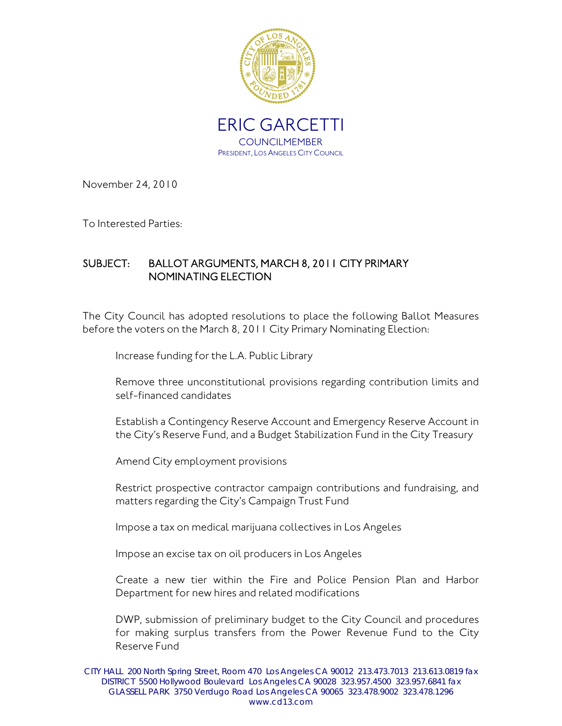

November 24, 2010

To Interested Parties:

## SUBJECT: BALLOT ARGUMENTS, MARCH 8, 2011 CITY PRIMARY NOMINATING ELECTION

The City Council has adopted resolutions to place the following Ballot Measures before the voters on the March 8, 2011 City Primary Nominating Election:

Increase funding for the L.A. Public Library

Remove three unconstitutional provisions regarding contribution limits and self-financed candidates

Establish a Contingency Reserve Account and Emergency Reserve Account in the City's Reserve Fund, and a Budget Stabilization Fund in the City Treasury

Amend City employment provisions

Restrict prospective contractor campaign contributions and fundraising, and matters regarding the City's Campaign Trust Fund

Impose a tax on medical marijuana collectives in Los Angeles

Impose an excise tax on oil producers in Los Angeles

Create a new tier within the Fire and Police Pension Plan and Harbor Department for new hires and related modifications

DWP, submission of preliminary budget to the City Council and procedures for making surplus transfers from the Power Revenue Fund to the City Reserve Fund

CITY HALL 200 North Spring Street, Room 470 Los Angeles CA 90012 213.473.7013 213.613.0819 fax DISTRICT 5500 Hollywood Boulevard Los Angeles CA 90028 323.957.4500 323.957.6841 fax GLASSELL PARK 3750 Verdugo Road Los Angeles CA 90065 323.478.9002 323.478.1296 www.cd13.com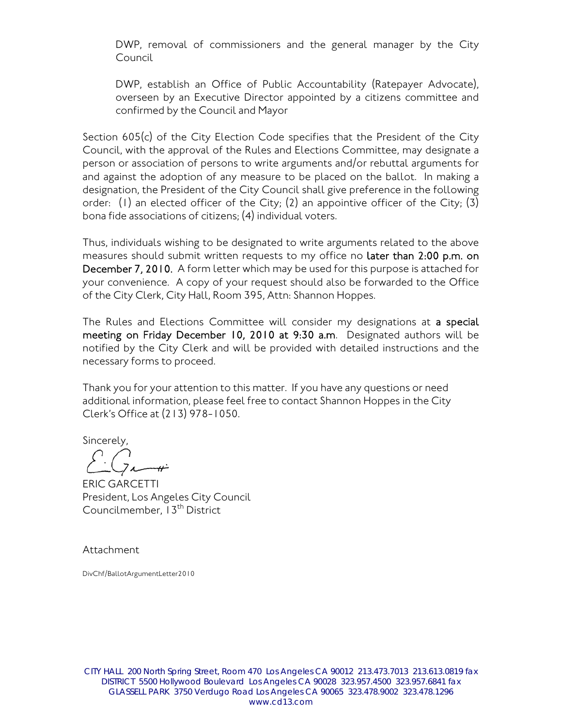DWP, removal of commissioners and the general manager by the City Council

DWP, establish an Office of Public Accountability (Ratepayer Advocate), overseen by an Executive Director appointed by a citizens committee and confirmed by the Council and Mayor

Section 605(c) of the City Election Code specifies that the President of the City Council, with the approval of the Rules and Elections Committee, may designate a person or association of persons to write arguments and/or rebuttal arguments for and against the adoption of any measure to be placed on the ballot. In making a designation, the President of the City Council shall give preference in the following order: (1) an elected officer of the City; (2) an appointive officer of the City; (3) bona fide associations of citizens; (4) individual voters.

Thus, individuals wishing to be designated to write arguments related to the above measures should submit written requests to my office no later than 2:00 p.m. on December 7, 2010. A form letter which may be used for this purpose is attached for your convenience. A copy of your request should also be forwarded to the Office of the City Clerk, City Hall, Room 395, Attn: Shannon Hoppes.

The Rules and Elections Committee will consider my designations at a special meeting on Friday December 10, 2010 at 9:30 a.m. Designated authors will be notified by the City Clerk and will be provided with detailed instructions and the necessary forms to proceed.

Thank you for your attention to this matter. If you have any questions or need additional information, please feel free to contact Shannon Hoppes in the City Clerk's Office at (213) 978-1050.

Sincerely,

ERIC GARCETTI President, Los Angeles City Council Councilmember, 13<sup>th</sup> District

Attachment

DivChf/BallotArgumentLetter2010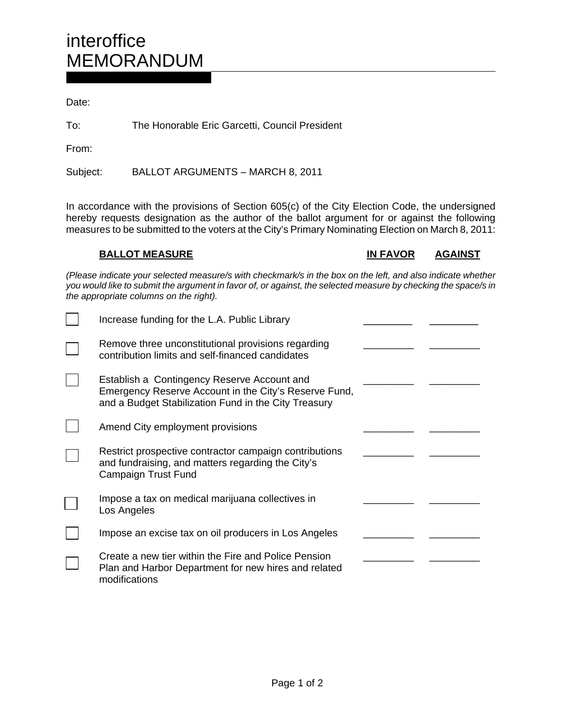Date:

To: The Honorable Eric Garcetti, Council President

From:

Subject: BALLOT ARGUMENTS – MARCH 8, 2011

In accordance with the provisions of Section 605(c) of the City Election Code, the undersigned hereby requests designation as the author of the ballot argument for or against the following measures to be submitted to the voters at the City's Primary Nominating Election on March 8, 2011:

**BALLOT MEASURE IN FAVOR AGAINST** 

*(Please indicate your selected measure/s with checkmark/s in the box on the left, and also indicate whether you would like to submit the argument in favor of, or against, the selected measure by checking the space/s in the appropriate columns on the right).* 

| Increase funding for the L.A. Public Library                                                                                                                 |  |
|--------------------------------------------------------------------------------------------------------------------------------------------------------------|--|
| Remove three unconstitutional provisions regarding<br>contribution limits and self-financed candidates                                                       |  |
| Establish a Contingency Reserve Account and<br>Emergency Reserve Account in the City's Reserve Fund,<br>and a Budget Stabilization Fund in the City Treasury |  |
| Amend City employment provisions                                                                                                                             |  |
| Restrict prospective contractor campaign contributions<br>and fundraising, and matters regarding the City's<br>Campaign Trust Fund                           |  |
| Impose a tax on medical marijuana collectives in<br>Los Angeles                                                                                              |  |
| Impose an excise tax on oil producers in Los Angeles                                                                                                         |  |
| Create a new tier within the Fire and Police Pension<br>Plan and Harbor Department for new hires and related<br>modifications                                |  |